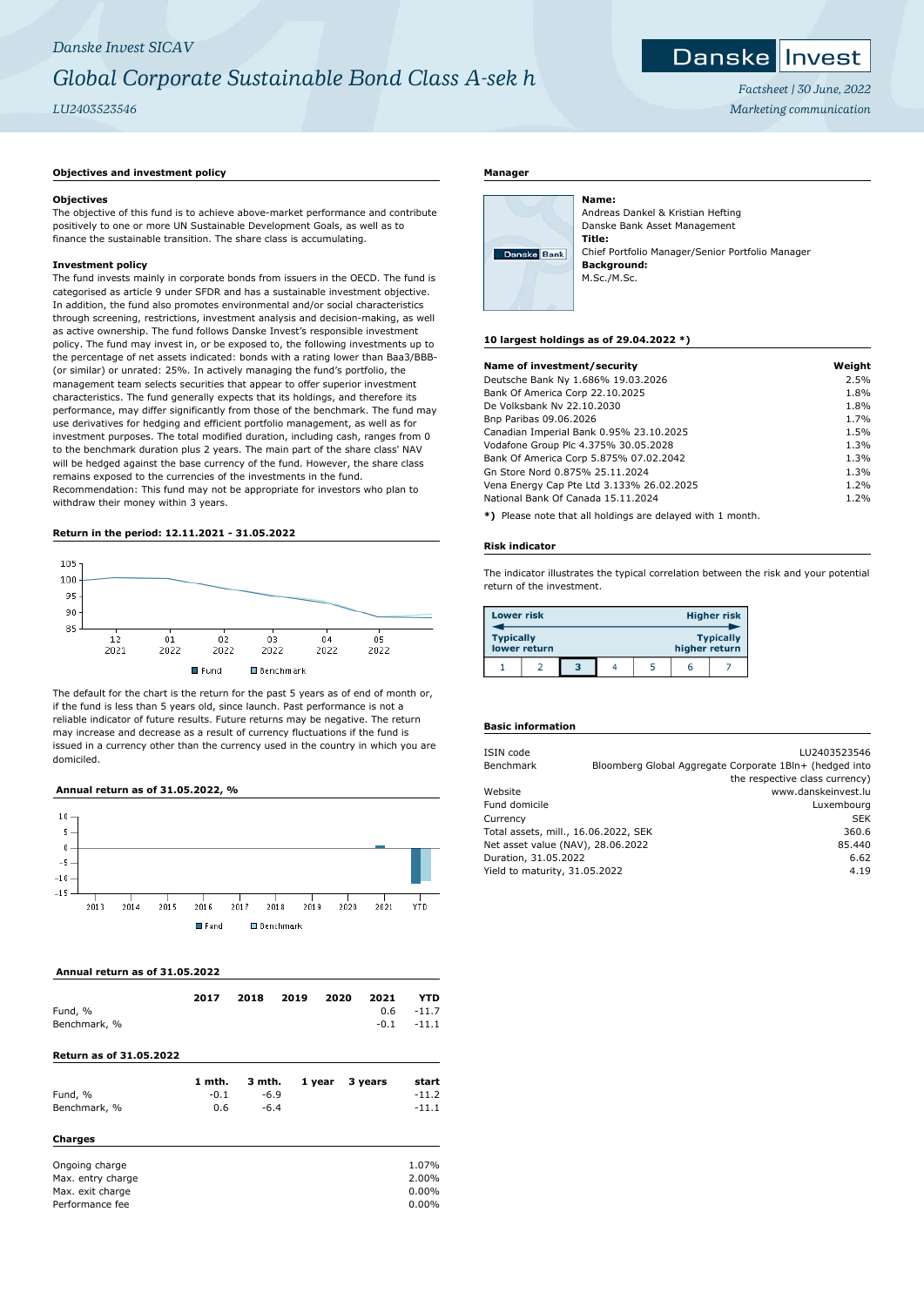# *Danske Invest SICAV Global Corporate Sustainable Bond Class A-sek h LU2403523546*

Danske Invest

> *Factsheet | 30 June, 2022 Marketing communication*

# **Objectives and investment policy**

#### **Objectives**

The objective of this fund is to achieve above-market performance and contribute positively to one or more UN Sustainable Development Goals, as well as to finance the sustainable transition. The share class is accumulating.

# **Investment policy**

The fund invests mainly in corporate bonds from issuers in the OECD. The fund is categorised as article 9 under SFDR and has a sustainable investment objective. In addition, the fund also promotes environmental and/or social characteristics through screening, restrictions, investment analysis and decision-making, as well as active ownership. The fund follows Danske Invest's responsible investment policy. The fund may invest in, or be exposed to, the following investments up to the percentage of net assets indicated: bonds with a rating lower than Baa3/BBB- (or similar) or unrated: 25%. In actively managing the fund's portfolio, the management team selects securities that appear to offer superior investment characteristics. The fund generally expects that its holdings, and therefore its performance, may differ significantly from those of the benchmark. The fund may use derivatives for hedging and efficient portfolio management, as well as for investment purposes. The total modified duration, including cash, ranges from 0 to the benchmark duration plus 2 years. The main part of the share class' NAV will be hedged against the base currency of the fund. However, the share class remains exposed to the currencies of the investments in the fund. Recommendation: This fund may not be appropriate for investors who plan to withdraw their money within 3 years.

# **Return in the period: 12.11.2021 - 31.05.2022**



The default for the chart is the return for the past 5 years as of end of month or, if the fund is less than 5 years old, since launch. Past performance is not a reliable indicator of future results. Future returns may be negative. The return may increase and decrease as a result of currency fluctuations if the fund is issued in a currency other than the currency used in the country in which you are domiciled.

### **Annual return as of 31.05.2022, %**



 **Annual return as of 31.05.2022**

| Fund, %                        | 2017   | 2018   | 2019 | 2020   | 2021<br>0.6 | YTD<br>$-11.7$ |
|--------------------------------|--------|--------|------|--------|-------------|----------------|
| Benchmark, %                   |        |        |      |        | $-0.1$      | $-11.1$        |
| <b>Return as of 31.05.2022</b> |        |        |      |        |             |                |
|                                | 1 mth. | 3 mth. |      | 1 year | 3 years     | start          |
| Fund, %                        | $-0.1$ | $-6.9$ |      |        |             | $-11.2$        |
| Benchmark, %                   | 0.6    | $-6.4$ |      |        |             | $-11.1$        |
| <b>Charges</b>                 |        |        |      |        |             |                |
| Ongoing charge                 |        |        |      |        |             | 1.07%          |
| Max. entry charge              |        |        |      |        |             | 2.00%          |
| Max. exit charge               |        |        |      |        |             | $0.00\%$       |
| Performance fee                |        |        |      |        |             | $0.00\%$       |

#### **Manager**

| Danske Bank |  |
|-------------|--|
|             |  |

Andreas Dankel & Kristian Hefting Danske Bank Asset Management **Title:** Chief Portfolio Manager/Senior Portfolio Manager **Background:** M.Sc./M.Sc.

#### **10 largest holdings as of 29.04.2022 \*)**

**Name:**

| Name of investment/security               | Weight |
|-------------------------------------------|--------|
| Deutsche Bank Ny 1.686% 19.03.2026        | 2.5%   |
| Bank Of America Corp 22.10.2025           | 1.8%   |
| De Volksbank Nv 22.10.2030                | 1.8%   |
| Bnp Paribas 09.06.2026                    | 1.7%   |
| Canadian Imperial Bank 0.95% 23.10.2025   | 1.5%   |
| Vodafone Group Plc 4.375% 30.05.2028      | 1.3%   |
| Bank Of America Corp 5.875% 07.02.2042    | 1.3%   |
| Gn Store Nord 0.875% 25.11.2024           | 1.3%   |
| Vena Energy Cap Pte Ltd 3.133% 26.02.2025 | 1.2%   |
| National Bank Of Canada 15.11.2024        | 1.2%   |
|                                           |        |

**\*)** Please note that all holdings are delayed with 1 month.

#### **Risk indicator**

The indicator illustrates the typical correlation between the risk and your potential return of the investment.

| <b>Lower risk</b> |              |   |   | <b>Higher risk</b> |               |                  |  |
|-------------------|--------------|---|---|--------------------|---------------|------------------|--|
| <b>Typically</b>  | lower return |   |   |                    | higher return | <b>Typically</b> |  |
|                   |              | з | 4 |                    | 6             |                  |  |

# **Basic information**

| ISIN code                            | LU2403523546                                            |
|--------------------------------------|---------------------------------------------------------|
| Benchmark                            | Bloomberg Global Aggregate Corporate 1Bln+ (hedged into |
|                                      | the respective class currency)                          |
| Website                              | www.danskeinvest.lu                                     |
| Fund domicile                        | Luxembourg                                              |
| Currency                             | <b>SEK</b>                                              |
| Total assets, mill., 16.06.2022, SEK | 360.6                                                   |
| Net asset value (NAV), 28.06.2022    | 85.440                                                  |
| Duration, 31.05.2022                 | 6.62                                                    |
| Yield to maturity, 31.05.2022        | 4.19                                                    |
|                                      |                                                         |